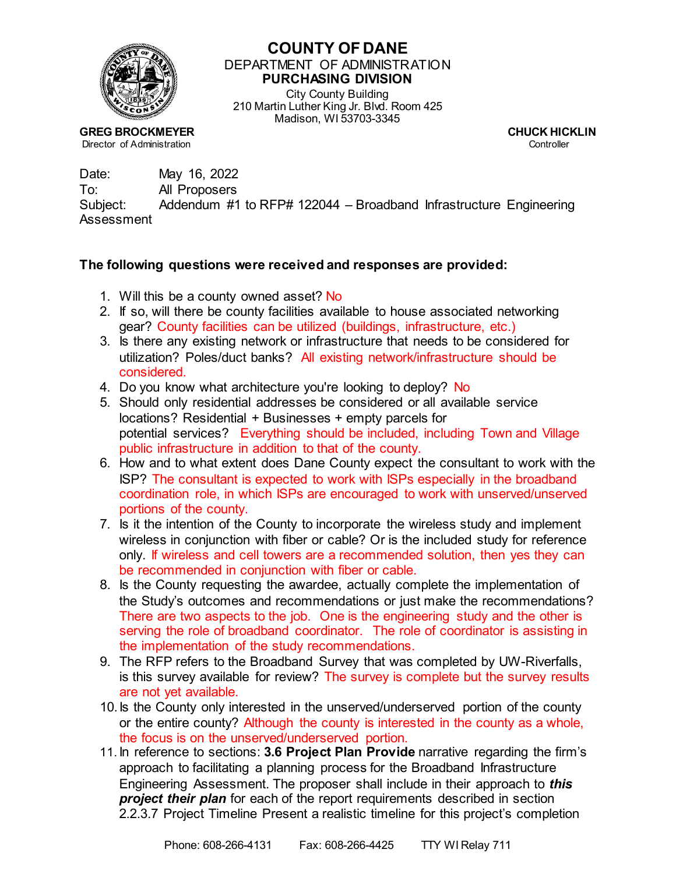

## **COUNTY OF DANE** DEPARTMENT OF ADMINISTRATION **PURCHASING DIVISION**

City County Building 210 Martin Luther King Jr. Blvd. Room 425 Madison, WI 53703-3345

**GREG BROCKMEYER CHUCK HICKLIN**<br> **CHUCK HICKLIN**<br>
Controller Controller Director of Administration

Date: May 16, 2022 To: All Proposers Subject: Addendum #1 to RFP# 122044 – Broadband Infrastructure Engineering Assessment

## **The following questions were received and responses are provided:**

- 1. Will this be a county owned asset? No
- 2. If so, will there be county facilities available to house associated networking gear? County facilities can be utilized (buildings, infrastructure, etc.)
- 3. Is there any existing network or infrastructure that needs to be considered for utilization? Poles/duct banks? All existing network/infrastructure should be considered.
- 4. Do you know what architecture you're looking to deploy? No
- 5. Should only residential addresses be considered or all available service locations? Residential + Businesses + empty parcels for potential services? Everything should be included, including Town and Village public infrastructure in addition to that of the county.
- 6. How and to what extent does Dane County expect the consultant to work with the ISP? The consultant is expected to work with ISPs especially in the broadband coordination role, in which ISPs are encouraged to work with unserved/unserved portions of the county.
- 7. Is it the intention of the County to incorporate the wireless study and implement wireless in conjunction with fiber or cable? Or is the included study for reference only. If wireless and cell towers are a recommended solution, then yes they can be recommended in conjunction with fiber or cable.
- 8. Is the County requesting the awardee, actually complete the implementation of the Study's outcomes and recommendations or just make the recommendations? There are two aspects to the job. One is the engineering study and the other is serving the role of broadband coordinator. The role of coordinator is assisting in the implementation of the study recommendations.
- 9. The RFP refers to the Broadband Survey that was completed by UW-Riverfalls, is this survey available for review? The survey is complete but the survey results are not yet available.
- 10.Is the County only interested in the unserved/underserved portion of the county or the entire county? Although the county is interested in the county as a whole, the focus is on the unserved/underserved portion.
- 11. In reference to sections: **3.6 Project Plan Provide** narrative regarding the firm's approach to facilitating a planning process for the Broadband Infrastructure Engineering Assessment. The proposer shall include in their approach to *this project their plan* for each of the report requirements described in section 2.2.3.7 Project Timeline Present a realistic timeline for this project's completion